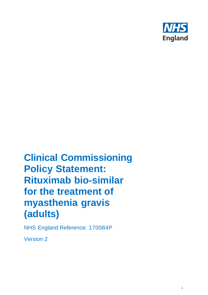

# **Clinical Commissioning Policy Statement: Rituximab bio-similar for the treatment of myasthenia gravis (adults)**

NHS England Reference: 170084P

Version 2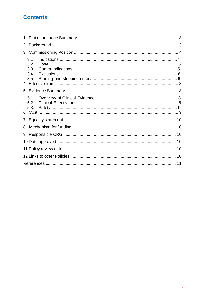# **Contents**

| 1 |                                 |  |  |  |  |  |  |
|---|---------------------------------|--|--|--|--|--|--|
| 2 |                                 |  |  |  |  |  |  |
| 3 |                                 |  |  |  |  |  |  |
|   | 3.1<br>3.2<br>3.3<br>3.4<br>3.5 |  |  |  |  |  |  |
| 5 |                                 |  |  |  |  |  |  |
|   | 5.1.<br>5.2.<br>5.3.            |  |  |  |  |  |  |
| 7 |                                 |  |  |  |  |  |  |
| 8 |                                 |  |  |  |  |  |  |
| 9 |                                 |  |  |  |  |  |  |
|   |                                 |  |  |  |  |  |  |
|   |                                 |  |  |  |  |  |  |
|   |                                 |  |  |  |  |  |  |
|   |                                 |  |  |  |  |  |  |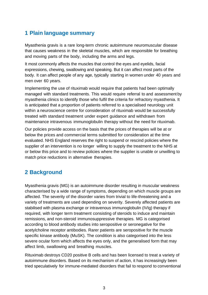# <span id="page-2-0"></span>**1 Plain language summary**

Myasthenia gravis is a rare long-term chronic autoimmune neuromuscular disease that causes weakness in the skeletal muscles, which are responsible for breathing and moving parts of the body, including the arms and legs.

It most commonly affects the muscles that control the eyes and eyelids, facial expressions, chewing, swallowing and speaking. But it can affect most parts of the body. It can affect people of any age, typically starting in women under 40 years and men over 60 years.

Implementing the use of rituximab would require that patients had been optimally managed with standard treatments. This would require referral to and assessment by myasthenia clinics to identify those who fulfil the criteria for refractory myasthenia. It is anticipated that a proportion of patients referred to a specialised neurology unit within a neuroscience centre for consideration of rituximab would be successfully treated with standard treatment under expert guidance and withdrawn from maintenance intravenous immunoglobulin therapy without the need for rituximab.

Our policies provide access on the basis that the prices of therapies will be at or below the prices and commercial terms submitted for consideration at the time evaluated. NHS England reserves the right to suspend or rescind policies where the supplier of an intervention is no longer willing to supply the treatment to the NHS at or below this price and to review policies where the supplier is unable or unwilling to match price reductions in alternative therapies.

# <span id="page-2-1"></span>**2 Background**

Myasthenia gravis (MG) is an autoimmune disorder resulting in muscular weakness characterised by a wide range of symptoms, depending on which muscle groups are affected. The severity of the disorder varies from trivial to life-threatening and a variety of treatments are used depending on severity. Severely affected patients are stabilised with plasma exchange or intravenous immunoglobulin (IVIg) therapy if required, with longer term treatment consisting of steroids to induce and maintain remissions, and non-steroid immunosuppressive therapies. MG is categorised according to blood antibody studies into seropositive or seronegative for the acetylcholine receptor antibodies. Rarer patients are seropositive for the muscle specific kinase antibody (MuSK). The condition is also categorised into the less severe ocular form which affects the eyes only, and the generalised form that may affect limb, swallowing and breathing muscles.

Rituximab destroys CD20 positive B cells and has been licensed to treat a variety of autoimmune disorders. Based on its mechanism of action, it has increasingly been tried speculatively for immune-mediated disorders that fail to respond to conventional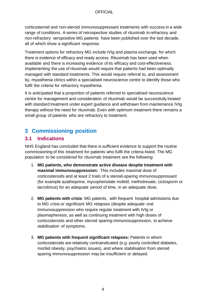corticosteroid and non-steroid immunosuppressant treatments with success in a wide range of conditions. A series of retrospective studies of rituximab in refractory and non-refractory seropositive MG patients have been published over the last decade, all of which show a significant response.

Treatment options for refractory MG include IVIg and plasma exchange, for which there is evidence of efficacy and ready access. Rituximab has been used when available and there is increasing evidence of its efficacy and cost-effectiveness. Implementing the use of rituximab would require that patients had been optimally managed with standard treatments. This would require referral to, and assessment by, myasthenia clinics within a specialised neuroscience centre to identify those who fulfil the criteria for refractory myasthenia.

It is anticipated that a proportion of patients referred to specialised neuroscience centre for management and consideration of rituximab would be successfully treated with standard treatment under expert guidance and withdrawn from maintenance IVIg therapy without the need for rituximab. Even with optimum treatment there remains a small group of patients who are refractory to treatment.

# <span id="page-3-0"></span>**3 Commissioning position**

### <span id="page-3-1"></span>**3.1 Indications**

NHS England has concluded that there is sufficient evidence to support the routine commissioning of this treatment for patients who fulfil the criteria listed. The MG population to be considered for rituximab treatment are the following:

- 1. **MG patients, who demonstrate active disease despite treatment with maximal immunosuppression:** This includes maximal dose of corticosteroids and at least 2 trials of a steroid-sparing immunosuppressant (for example azathioprine, mycophenolate mofetil, methotrexate, ciclosporin or tacrolimus) for an adequate period of time, in an adequate dose.
- 2. **MG patients with crisis**: MG patients, with frequent hospital admissions due to MG crisis or significant MG relapses (despite adequate oral immunosuppression who require regular treatment with IVIg or plasmapheresis, as well as continuing treatment with high doses of corticosteroids and other steroid sparing immunosuppression, to achieve stabilisation of symptoms.
- 3. **MG patients with frequent significant relapses:** Patients in whom corticosteroids are relatively contraindicated (e.g. poorly controlled diabetes, morbid obesity, psychiatric issues), and where stabilisation from steroid sparing immunosuppression may be insufficient or delayed.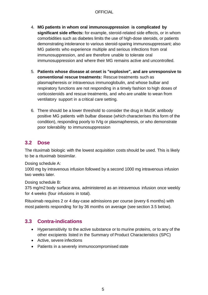#### **OFFICIAL**

- 4. **MG patients in whom oral immunosuppression is complicated by significant side effects:** for example, steroid-related side effects, or in whom comorbidities such as diabetes limits the use of high-dose steroids, or patients demonstrating intolerance to various steroid-sparing immunosuppressant; also MG patients who experience multiple and serious infections from oral immunosuppression, and are therefore unable to tolerate oral immunosuppression and where their MG remains active and uncontrolled.
- 5. **Patients whose disease at onset is "explosive", and are unresponsive to conventional rescue treatments:** Rescue treatments such as plasmapheresis or intravenous immunoglobulin, and whose bulbar and respiratory functions are not responding in a timely fashion to high doses of corticosteroids and rescue treatments, and who are unable to wean from ventilatory support in a critical care setting.
- 6. There should be a lower threshold to consider the drug in MuSK antibody positive MG patients with bulbar disease (which characterises this form of the condition), responding poorly to IVIg or plasmapheresis, or who demonstrate poor tolerability to immunosuppression

### <span id="page-4-0"></span>**3.2 Dose**

The rituximab biologic with the lowest acquisition costs should be used. This is likely to be a rituximab biosimilar.

Dosing schedule A:

1000 mg by intravenous infusion followed by a second 1000 mg intravenous infusion two weeks later.

Dosing schedule B:

375 mg/m2 body surface area, administered as an intravenous infusion once weekly for 4 weeks (four infusions in total).

Rituximab requires 2 or 4 day-case admissions per course (every 6 months) with most patients responding for by 36 months on average (see section 3.5 below).

### <span id="page-4-1"></span>**3.3 Contra-indications**

- Hypersensitivity to the active substance or to murine proteins, or to any of the other excipients listed in the Summary of Product Characteristics (SPC)
- Active, severe infections
- Patients in a severely immunocompromised state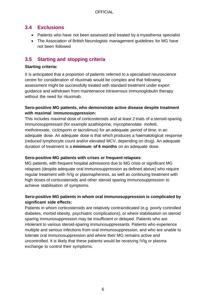### <span id="page-5-0"></span>**3.4 Exclusions**

- Patients who have not been assessed and treated by a myasthenia specialist
- The Association of British Neurologists management guidelines for MG have not been followed

### <span id="page-5-1"></span>**3.5 Starting and stopping criteria**

#### **Starting criteria:**

It is anticipated that a proportion of patients referred to a specialised neuroscience centre for consideration of rituximab would be complex and that following assessment might be successfully treated with standard treatment under expert guidance and withdrawn from maintenance intravenous immunoglobulin therapy without the need for rituximab.

### **Sero-positive MG patients, who demonstrate active disease despite treatment with maximal immunosuppression:**

This includes maximal dose of corticosteroids and at least 2 trials of a steroid-sparing immunosuppressant (for example azathioprine, mycophenolate mofetil, methotrexate, ciclosporin or tacrolimus) for an adequate period of time, in an adequate dose. An adequate dose is that which produces a haematological response (reduced lymphocyte count and/or elevated MCV, depending on drug). An adequate duration of treatment is a **minimum of 6 months** on an adequate dose.

#### **Sero-positive MG patients with crises or frequent relapses**:

MG patients, with frequent hospital admissions due to MG crisis or significant MG relapses (despite adequate oral immunosuppression as defined above) who require regular treatment with IVIg or plasmapheresis, as well as continuing treatment with high doses of corticosteroids and other steroid sparing immunosuppression to achieve stabilisation of symptoms.

### **Sero-positive MG patients in whom oral immunosuppression is complicated by significant side effects:**

Patients in whom corticosteroids are relatively contraindicated (e.g. poorly controlled diabetes, morbid obesity, psychiatric complications), or where stabilisation on steroid sparing immunosuppression may be insufficient or delayed. Patients who are intolerant to various steroid-sparing immunosuppressants. Patients who experience multiple and serious infections from oral immunosuppression, and who are unable to tolerate oral immunosuppression and where their MG remains active and uncontrolled. It is likely that these patients would be receiving IVIg or plasma exchange to control their symptoms.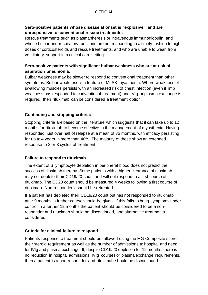#### **Sero-positive patients whose disease at onset is "explosive", and are unresponsive to conventional rescue treatments:**

Rescue treatments such as plasmapheresis or intravenous immunoglobulin, and whose bulbar and respiratory functions are not responding in a timely fashion to high doses of corticosteroids and rescue treatments, and who are unable to wean from ventilatory support in a critical care setting.

#### **Sero-positive patients with significant bulbar weakness who are at risk of aspiration pneumonia:**

Bulbar weakness may be slower to respond to conventional treatment than other symptoms. Bulbar weakness is a feature of MuSK myasthenia. Where weakness of swallowing muscles persists with an increased risk of chest infection (even if limb weakness has responded to conventional treatment) and IVIg or plasma exchange is required, then rituximab can be considered a treatment option.

### **Continuing and stopping criteria:**

Stopping criteria are based on the literature which suggests that it can take up to 12 months for rituximab to become effective in the management of myasthenia. Having responded, just over half of relapse at a mean of 36 months, with efficacy persisting for up to 4 years in more than 40%. The majority of these show an extended response to 2 or 3 cycles of treatment.

#### **Failure to respond to rituximab.**

The extent of B lymphocyte depletion in peripheral blood does not predict the success of rituximab therapy. Some patients with a higher clearance of rituximab may not deplete their CD19/20 count and will not respond to a first course of rituximab. The CD20 count should be measured 4 weeks following a first course of rituximab. Non-responders should be retreated.

If a patient has depleted their CD19/20 count but has not responded to rituximab after 9 months, a further course should be given. If this fails to bring symptoms under control in a further 12 months the patient should be considered to be a nonresponder and rituximab should be discontinued, and alternative treatments considered.

### **Criteria for clinical failure to respond**

Patients response to treatment should be followed using the MG Composite score, their steroid requirement as well as the number of admissions to hospital and need for IVIg and plasma exchange. If, despite CD19/20 depletion for 12 months, there is no reduction in hospital admissions, IVIg courses or plasma exchange requirements, then a patient is a non-responder and rituximab should be discontinued.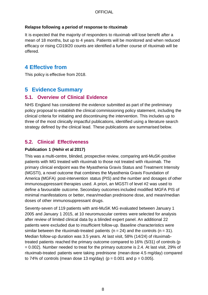#### **Relapse following a period of response to rituximab**

It is expected that the majority of responders to rituximab will lose benefit after a mean of 18 months, but up to 4 years. Patients will be monitored and when reduced efficacy or rising CD19/20 counts are identified a further course of rituximab will be offered.

### <span id="page-7-0"></span>**4 Effective from**

This policy is effective from 2018.

# <span id="page-7-1"></span>**5 Evidence Summary**

### <span id="page-7-2"></span>**5.1. Overview of Clinical Evidence**

NHS England has considered the evidence submitted as part of the preliminary policy proposal to establish the clinical commissioning policy statement, including the clinical criteria for initiating and discontinuing the intervention. This includes up to three of the most clinically impactful publications, identified using a literature search strategy defined by the clinical lead. These publications are summarised below.

### <span id="page-7-3"></span>**5.2. Clinical Effectiveness**

### **Publication 1 (Hehir et al 2017)**

This was a multi-centre, blinded, prospective review, comparing anti-MuSK-positive patients with MG treated with rituximab to those not treated with rituximab. The primary clinical endpoint was the Myasthenia Gravis Status and Treatment Intensity (MGSTI), a novel outcome that combines the Myasthenia Gravis Foundation of America (MGFA) post-intervention status (PIS) and the number and dosages of other immunosuppressant therapies used. A priori, an MGSTI of level #2 was used to define a favourable outcome. Secondary outcomes included modified MGFA PIS of minimal manifestations or better, mean/median prednisone dose, and mean/median doses of other immunosuppressant drugs.

Seventy-seven of 119 patients with anti-MuSK MG evaluated between January 1 2005 and January 1 2015, at 10 neuromuscular centres were selected for analysis after review of limited clinical data by a blinded expert panel. An additional 22 patients were excluded due to insufficient follow-up. Baseline characteristics were similar between the rituximab-treated patients ( $n = 24$ ) and the controls ( $n = 31$ ). Median follow-up duration was 3.5 years. At last visit, 58% (14/24) of rituximabtreated patients reached the primary outcome compared to 16% (5/31) of controls (p = 0.002). Number needed to treat for the primary outcome is 2.4. At last visit, 29% of rituximab-treated patients were taking prednisone (mean dose 4.5 mg/day) compared to 74% of controls (mean dose 13 mg/day) ( $p = 0.001$  and  $p = 0.005$ ).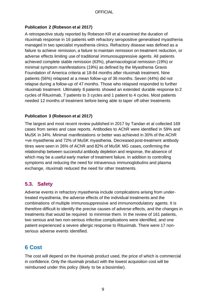### **Publication 2 (Robeson et al 2017)**

A retrospective study reported by Robeson KR et al examined the duration of rituximab response in 16 patients with refractory seropositive generalised myasthenia managed in two specialist myasthenia clinics. Refractory disease was defined as a failure to achieve remission, a failure to maintain remission on treatment reduction, or adverse effects limiting use of traditional immunosuppressive agents. All patients achieved complete stable remission (63%), pharmacological remission (19%) or minimal symptom manifestations (19%) as defined by the Myasthenia Gravis Foundation of America criteria at 18-84 months after rituximab treatment. Nine patients (56%) relapsed at a mean follow-up of 36 months. Seven (44%) did not relapse during a follow-up of 47 months. Those who relapsed responded to further rituximab treatment. Ultimately 8 patients showed an extended durable response to 2 cycles of Rituximab, 7 patients to 3 cycles and 1 patient to 4 cycles. Most patients needed 12 months of treatment before being able to taper off other treatments

#### **Publication 3 (Robeson et al 2017)**

The largest and most recent review published in 2017 by Tandan et al collected 169 cases from series and case reports. Antibodies to AChR were identified in 59% and MuSK in 34%. Minimal manifestations or better was achieved in 30% of the AChR +ve myasthenia and 72% of MuSK myasthenia. Decreased post-treatment antibody titres were seen in 26% of AChR and 82% of MuSK MG cases, confirming the relationship between successful antibody depletion and response, the absence of which may be a useful early marker of treatment failure. In addition to controlling symptoms and reducing the need for intravenous immunoglobulins and plasma exchange, rituximab reduced the need for other treatments.

### <span id="page-8-0"></span>**5.3. Safety**

Adverse events in refractory myasthenia include complications arising from undertreated myasthenia, the adverse effects of the individual treatments and the combinations of multiple immunosuppressive and immunomodulatory agents. It is therefore difficult to identify the precise causes of adverse effects, and the changes in treatments that would be required to minimise them. In the review of 161 patients, two serious and two non-serious infective complications were identified, and one patient experienced a severe allergic response to Rituximab. There were 17 nonserious adverse events identified.

# <span id="page-8-1"></span>**6 Cost**

The cost will depend on the rituximab product used, the price of which is commercial in confidence. Only the rituximab product with the lowest acquisition cost will be reimbursed under this policy (likely to be a biosimilar).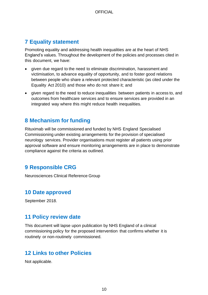# <span id="page-9-0"></span>**7 Equality statement**

Promoting equality and addressing health inequalities are at the heart of NHS England's values. Throughout the development of the policies and processes cited in this document, we have:

- given due regard to the need to eliminate discrimination, harassment and victimisation, to advance equality of opportunity, and to foster good relations between people who share a relevant protected characteristic (as cited under the Equality Act 2010) and those who do not share it; and
- given regard to the need to reduce inequalities between patients in access to, and outcomes from healthcare services and to ensure services are provided in an integrated way where this might reduce health inequalities.

### <span id="page-9-1"></span>**8 Mechanism for funding**

Rituximab will be commissioned and funded by NHS England Specialised Commissioning under existing arrangements for the provision of specialised neurology services. Provider organisations must register all patients using prior approval software and ensure monitoring arrangements are in place to demonstrate compliance against the criteria as outlined.

# <span id="page-9-2"></span>**9 Responsible CRG**

Neurosciences Clinical Reference Group

# <span id="page-9-3"></span>**10 Date approved**

September 2018.

# <span id="page-9-4"></span>**11 Policy review date**

This document will lapse upon publication by NHS England of a clinical commissioning policy for the proposed intervention that confirms whether it is routinely or non-routinely commissioned.

### <span id="page-9-5"></span>**12 Links to other Policies**

Not applicable.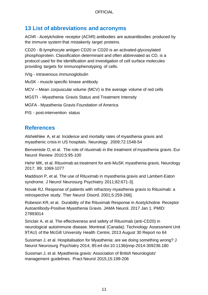# **13 List of abbreviations and acronyms**

AChR - Acetylcholine receptor (AChR) antibodies are autoantibodies produced by the immune system that mistakenly target proteins.

CD20 - B-lymphocyte antigen CD20 or CD20 is an activated-glycosylated phosphoprotein. Classification determinant and often abbreviated as CD, is a protocol used for the identification and investigation of cell surface molecules providing targets for immunophenotyping of cells.

IVIg - intravenous immunoglobulin

MuSK - muscle specific kinase antibody

MCV – Mean corpuscular volume (MCV) is the average volume of red cells

MGSTI - Myasthenia Gravis Status and Treatment Intensity

MGFA - Myasthenia Gravis Foundation of America

PIS - post-intervention status

### <span id="page-10-0"></span>**References**

Alshekhlee A, et al. Incidence and mortality rates of myasthenia gravis and myasthenic crisis in US hospitals. Neurology. 2009;72:1548-54

Benveniste O, et al. The role of rituximab in the treatment of myasthenia gravis. Eur Neurol Review 2010;5:95-100

Hehir MK, et al. Rituximab as treatment for anti-MuSK myasthenia gravis. Neurology 2017; 89; 1069-1077

Maddison P, et al. The use of Rituximab in myasthenia gravis and Lambert-Eaton syndrome. J Neurol Neurosurg Psychiatry 2011;82:671-3].

Novak RJ. Response of patients with refractory myasthenia gravis to Rituximab: a retrospective study. Ther Neurol Disord. 2001;5:259-266].

Robeson KR, et al. Durability of the Rituximab Response in Acetylcholine Receptor Autoantibody-Positive Myasthenia Gravis. JAMA Neurol. 2017 Jan 1. PMID: 27893014

Sinclair A, et al. The effectiveness and safety of Rituximab (anti-CD20) in neurological autoimmune disease. Montreal (Canada): Technology Assessment Unit 9TAU) of the McGill University Health Centre; 2013 August 30 Report no 64

Sussman J, et al. Hospitalisation for Myasthenia: are we doing something wrong? J Neurol Neurosurg Psychiatry 2014; 85:e4 doi:10.1136/jnnp-2014-309236.180

Sussman J, et al. Myasthenia gravis: Association of British Neurologists' management guidelines. Pract Neurol 2015;15:199-206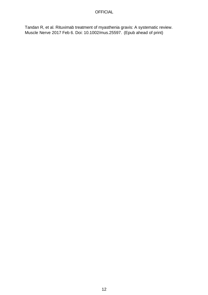#### **OFFICIAL**

Tandan R, et al. Rituximab treatment of myasthenia gravis: A systematic review. Muscle Nerve 2017 Feb 6. Doi: 10.1002/mus.25597. (Epub ahead of print)